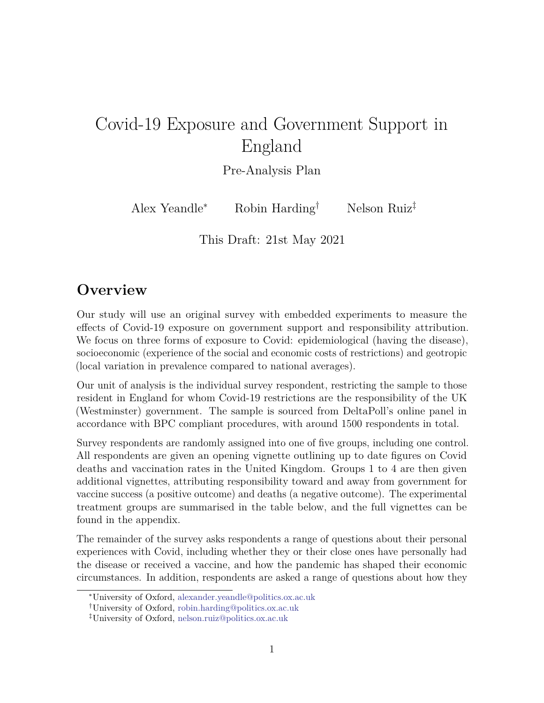# Covid-19 Exposure and Government Support in England

Pre-Analysis Plan

Alex Yeandle<sup>∗</sup> Robin Harding† Nelson Ruiz‡

This Draft: 21st May 2021

# **Overview**

Our study will use an original survey with embedded experiments to measure the effects of Covid-19 exposure on government support and responsibility attribution. We focus on three forms of exposure to Covid: epidemiological (having the disease), socioeconomic (experience of the social and economic costs of restrictions) and geotropic (local variation in prevalence compared to national averages).

Our unit of analysis is the individual survey respondent, restricting the sample to those resident in England for whom Covid-19 restrictions are the responsibility of the UK (Westminster) government. The sample is sourced from DeltaPoll's online panel in accordance with BPC compliant procedures, with around 1500 respondents in total.

Survey respondents are randomly assigned into one of five groups, including one control. All respondents are given an opening vignette outlining up to date figures on Covid deaths and vaccination rates in the United Kingdom. Groups 1 to 4 are then given additional vignettes, attributing responsibility toward and away from government for vaccine success (a positive outcome) and deaths (a negative outcome). The experimental treatment groups are summarised in the table below, and the full vignettes can be found in the appendix.

The remainder of the survey asks respondents a range of questions about their personal experiences with Covid, including whether they or their close ones have personally had the disease or received a vaccine, and how the pandemic has shaped their economic circumstances. In addition, respondents are asked a range of questions about how they

<sup>∗</sup>University of Oxford, [alexander.yeandle@politics.ox.ac.uk](mailto:alexander.yeandle@politics.ox.ac.uk)

<sup>†</sup>University of Oxford, [robin.harding@politics.ox.ac.uk](mailto:robin.harding@politics.ox.ac.uk)

<sup>‡</sup>University of Oxford, [nelson.ruiz@politics.ox.ac.uk](mailto:nelson.ruiz@politics.ox.ac.uk)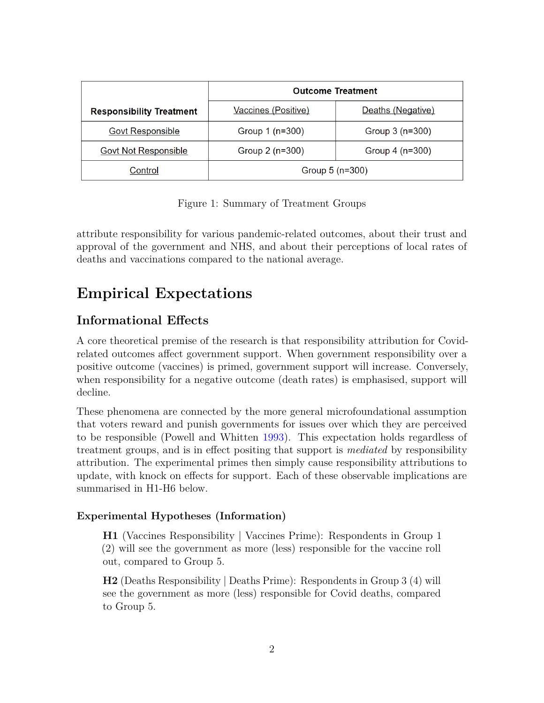|                                 | <b>Outcome Treatment</b> |                   |
|---------------------------------|--------------------------|-------------------|
| <b>Responsibility Treatment</b> | Vaccines (Positive)      | Deaths (Negative) |
| <b>Govt Responsible</b>         | Group 1 (n=300)          | Group 3 (n=300)   |
| <b>Govt Not Responsible</b>     | Group 2 (n=300)          | Group $4(n=300)$  |
| Control                         | Group $5(n=300)$         |                   |

Figure 1: Summary of Treatment Groups

attribute responsibility for various pandemic-related outcomes, about their trust and approval of the government and NHS, and about their perceptions of local rates of deaths and vaccinations compared to the national average.

# **Empirical Expectations**

### **Informational Effects**

A core theoretical premise of the research is that responsibility attribution for Covidrelated outcomes affect government support. When government responsibility over a positive outcome (vaccines) is primed, government support will increase. Conversely, when responsibility for a negative outcome (death rates) is emphasised, support will decline.

These phenomena are connected by the more general microfoundational assumption that voters reward and punish governments for issues over which they are perceived to be responsible (Powell and Whitten [1993\)](#page-16-0). This expectation holds regardless of treatment groups, and is in effect positing that support is *mediated* by responsibility attribution. The experimental primes then simply cause responsibility attributions to update, with knock on effects for support. Each of these observable implications are summarised in H1-H6 below.

#### **Experimental Hypotheses (Information)**

**H1** (Vaccines Responsibility | Vaccines Prime): Respondents in Group 1 (2) will see the government as more (less) responsible for the vaccine roll out, compared to Group 5.

**H2** (Deaths Responsibility | Deaths Prime): Respondents in Group 3 (4) will see the government as more (less) responsible for Covid deaths, compared to Group 5.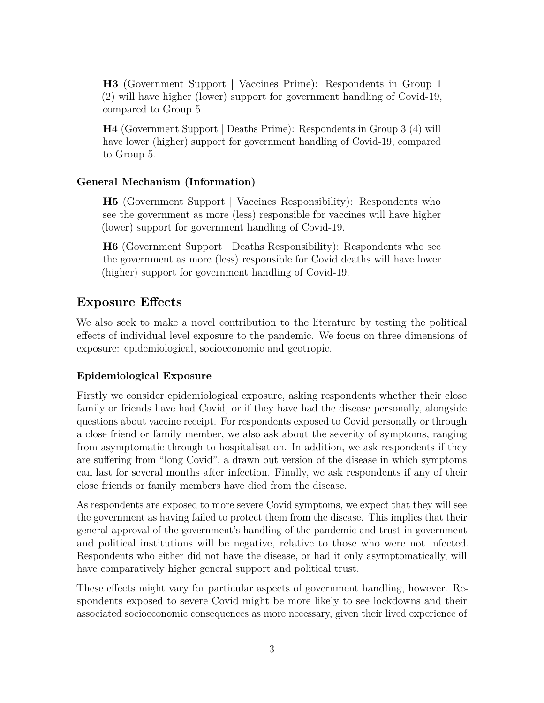**H3** (Government Support | Vaccines Prime): Respondents in Group 1 (2) will have higher (lower) support for government handling of Covid-19, compared to Group 5.

**H4** (Government Support | Deaths Prime): Respondents in Group 3 (4) will have lower (higher) support for government handling of Covid-19, compared to Group 5.

#### **General Mechanism (Information)**

**H5** (Government Support | Vaccines Responsibility): Respondents who see the government as more (less) responsible for vaccines will have higher (lower) support for government handling of Covid-19.

**H6** (Government Support | Deaths Responsibility): Respondents who see the government as more (less) responsible for Covid deaths will have lower (higher) support for government handling of Covid-19.

### **Exposure Effects**

We also seek to make a novel contribution to the literature by testing the political effects of individual level exposure to the pandemic. We focus on three dimensions of exposure: epidemiological, socioeconomic and geotropic.

#### **Epidemiological Exposure**

Firstly we consider epidemiological exposure, asking respondents whether their close family or friends have had Covid, or if they have had the disease personally, alongside questions about vaccine receipt. For respondents exposed to Covid personally or through a close friend or family member, we also ask about the severity of symptoms, ranging from asymptomatic through to hospitalisation. In addition, we ask respondents if they are suffering from "long Covid", a drawn out version of the disease in which symptoms can last for several months after infection. Finally, we ask respondents if any of their close friends or family members have died from the disease.

As respondents are exposed to more severe Covid symptoms, we expect that they will see the government as having failed to protect them from the disease. This implies that their general approval of the government's handling of the pandemic and trust in government and political institutions will be negative, relative to those who were not infected. Respondents who either did not have the disease, or had it only asymptomatically, will have comparatively higher general support and political trust.

These effects might vary for particular aspects of government handling, however. Respondents exposed to severe Covid might be more likely to see lockdowns and their associated socioeconomic consequences as more necessary, given their lived experience of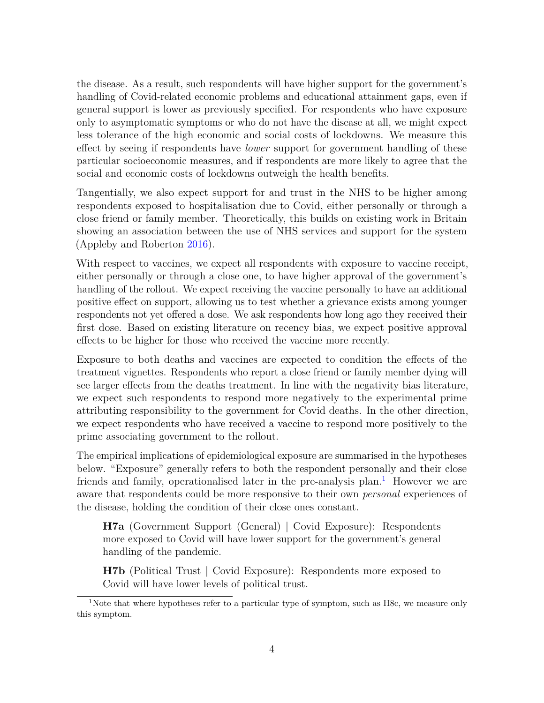the disease. As a result, such respondents will have higher support for the government's handling of Covid-related economic problems and educational attainment gaps, even if general support is lower as previously specified. For respondents who have exposure only to asymptomatic symptoms or who do not have the disease at all, we might expect less tolerance of the high economic and social costs of lockdowns. We measure this effect by seeing if respondents have *lower* support for government handling of these particular socioeconomic measures, and if respondents are more likely to agree that the social and economic costs of lockdowns outweigh the health benefits.

Tangentially, we also expect support for and trust in the NHS to be higher among respondents exposed to hospitalisation due to Covid, either personally or through a close friend or family member. Theoretically, this builds on existing work in Britain showing an association between the use of NHS services and support for the system (Appleby and Roberton [2016\)](#page-16-1).

With respect to vaccines, we expect all respondents with exposure to vaccine receipt, either personally or through a close one, to have higher approval of the government's handling of the rollout. We expect receiving the vaccine personally to have an additional positive effect on support, allowing us to test whether a grievance exists among younger respondents not yet offered a dose. We ask respondents how long ago they received their first dose. Based on existing literature on recency bias, we expect positive approval effects to be higher for those who received the vaccine more recently.

Exposure to both deaths and vaccines are expected to condition the effects of the treatment vignettes. Respondents who report a close friend or family member dying will see larger effects from the deaths treatment. In line with the negativity bias literature, we expect such respondents to respond more negatively to the experimental prime attributing responsibility to the government for Covid deaths. In the other direction, we expect respondents who have received a vaccine to respond more positively to the prime associating government to the rollout.

The empirical implications of epidemiological exposure are summarised in the hypotheses below. "Exposure" generally refers to both the respondent personally and their close friends and family, operationalised later in the pre-analysis plan.<sup>[1](#page-3-0)</sup> However we are aware that respondents could be more responsive to their own *personal* experiences of the disease, holding the condition of their close ones constant.

**H7a** (Government Support (General) | Covid Exposure): Respondents more exposed to Covid will have lower support for the government's general handling of the pandemic.

**H7b** (Political Trust | Covid Exposure): Respondents more exposed to Covid will have lower levels of political trust.

<span id="page-3-0"></span><sup>&</sup>lt;sup>1</sup>Note that where hypotheses refer to a particular type of symptom, such as H8c, we measure only this symptom.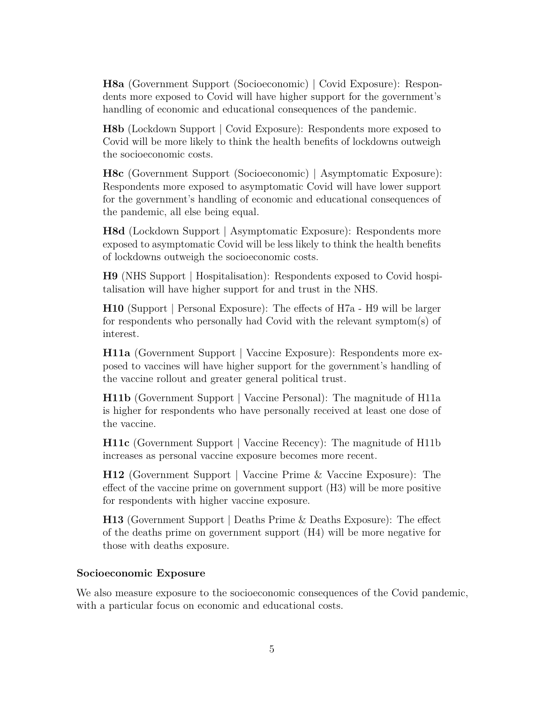**H8a** (Government Support (Socioeconomic) | Covid Exposure): Respondents more exposed to Covid will have higher support for the government's handling of economic and educational consequences of the pandemic.

**H8b** (Lockdown Support | Covid Exposure): Respondents more exposed to Covid will be more likely to think the health benefits of lockdowns outweigh the socioeconomic costs.

**H8c** (Government Support (Socioeconomic) | Asymptomatic Exposure): Respondents more exposed to asymptomatic Covid will have lower support for the government's handling of economic and educational consequences of the pandemic, all else being equal.

**H8d** (Lockdown Support | Asymptomatic Exposure): Respondents more exposed to asymptomatic Covid will be less likely to think the health benefits of lockdowns outweigh the socioeconomic costs.

**H9** (NHS Support | Hospitalisation): Respondents exposed to Covid hospitalisation will have higher support for and trust in the NHS.

**H10** (Support | Personal Exposure): The effects of H7a - H9 will be larger for respondents who personally had Covid with the relevant symptom(s) of interest.

**H11a** (Government Support | Vaccine Exposure): Respondents more exposed to vaccines will have higher support for the government's handling of the vaccine rollout and greater general political trust.

**H11b** (Government Support | Vaccine Personal): The magnitude of H11a is higher for respondents who have personally received at least one dose of the vaccine.

**H11c** (Government Support | Vaccine Recency): The magnitude of H11b increases as personal vaccine exposure becomes more recent.

**H12** (Government Support | Vaccine Prime & Vaccine Exposure): The effect of the vaccine prime on government support (H3) will be more positive for respondents with higher vaccine exposure.

**H13** (Government Support | Deaths Prime & Deaths Exposure): The effect of the deaths prime on government support (H4) will be more negative for those with deaths exposure.

#### **Socioeconomic Exposure**

We also measure exposure to the socioeconomic consequences of the Covid pandemic, with a particular focus on economic and educational costs.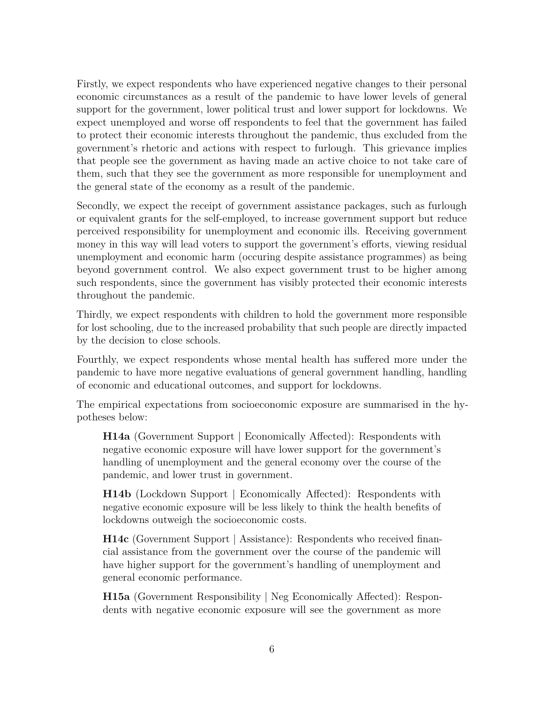Firstly, we expect respondents who have experienced negative changes to their personal economic circumstances as a result of the pandemic to have lower levels of general support for the government, lower political trust and lower support for lockdowns. We expect unemployed and worse off respondents to feel that the government has failed to protect their economic interests throughout the pandemic, thus excluded from the government's rhetoric and actions with respect to furlough. This grievance implies that people see the government as having made an active choice to not take care of them, such that they see the government as more responsible for unemployment and the general state of the economy as a result of the pandemic.

Secondly, we expect the receipt of government assistance packages, such as furlough or equivalent grants for the self-employed, to increase government support but reduce perceived responsibility for unemployment and economic ills. Receiving government money in this way will lead voters to support the government's efforts, viewing residual unemployment and economic harm (occuring despite assistance programmes) as being beyond government control. We also expect government trust to be higher among such respondents, since the government has visibly protected their economic interests throughout the pandemic.

Thirdly, we expect respondents with children to hold the government more responsible for lost schooling, due to the increased probability that such people are directly impacted by the decision to close schools.

Fourthly, we expect respondents whose mental health has suffered more under the pandemic to have more negative evaluations of general government handling, handling of economic and educational outcomes, and support for lockdowns.

The empirical expectations from socioeconomic exposure are summarised in the hypotheses below:

**H14a** (Government Support | Economically Affected): Respondents with negative economic exposure will have lower support for the government's handling of unemployment and the general economy over the course of the pandemic, and lower trust in government.

**H14b** (Lockdown Support | Economically Affected): Respondents with negative economic exposure will be less likely to think the health benefits of lockdowns outweigh the socioeconomic costs.

**H14c** (Government Support | Assistance): Respondents who received financial assistance from the government over the course of the pandemic will have higher support for the government's handling of unemployment and general economic performance.

**H15a** (Government Responsibility | Neg Economically Affected): Respondents with negative economic exposure will see the government as more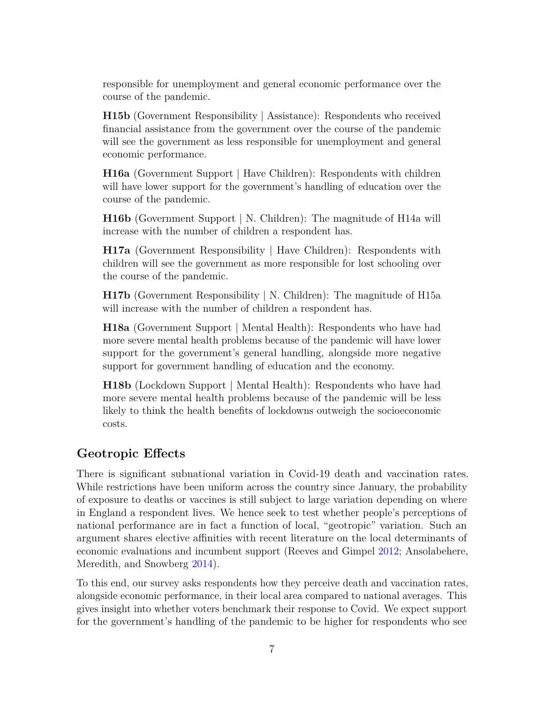responsible for unemployment and general economic performance over the course of the pandemic.

**H15b** (Government Responsibility | Assistance): Respondents who received financial assistance from the government over the course of the pandemic will see the government as less responsible for unemployment and general economic performance.

**H16a** (Government Support | Have Children): Respondents with children will have lower support for the government's handling of education over the course of the pandemic.

**H16b** (Government Support | N. Children): The magnitude of H14a will increase with the number of children a respondent has.

**H17a** (Government Responsibility | Have Children): Respondents with children will see the government as more responsible for lost schooling over the course of the pandemic.

**H17b** (Government Responsibility | N. Children): The magnitude of H15a will increase with the number of children a respondent has.

**H18a** (Government Support | Mental Health): Respondents who have had more severe mental health problems because of the pandemic will have lower support for the government's general handling, alongside more negative support for government handling of education and the economy.

**H18b** (Lockdown Support | Mental Health): Respondents who have had more severe mental health problems because of the pandemic will be less likely to think the health benefits of lockdowns outweigh the socioeconomic costs.

#### **Geotropic Effects**

There is significant subnational variation in Covid-19 death and vaccination rates. While restrictions have been uniform across the country since January, the probability of exposure to deaths or vaccines is still subject to large variation depending on where in England a respondent lives. We hence seek to test whether people's perceptions of national performance are in fact a function of local, "geotropic" variation. Such an argument shares elective affinities with recent literature on the local determinants of economic evaluations and incumbent support (Reeves and Gimpel [2012;](#page-16-2) Ansolabehere, Meredith, and Snowberg [2014\)](#page-16-3).

To this end, our survey asks respondents how they perceive death and vaccination rates, alongside economic performance, in their local area compared to national averages. This gives insight into whether voters benchmark their response to Covid. We expect support for the government's handling of the pandemic to be higher for respondents who see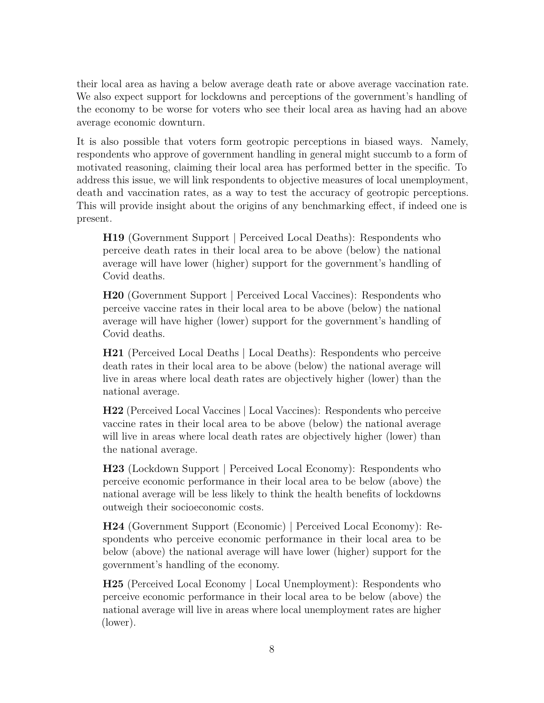their local area as having a below average death rate or above average vaccination rate. We also expect support for lockdowns and perceptions of the government's handling of the economy to be worse for voters who see their local area as having had an above average economic downturn.

It is also possible that voters form geotropic perceptions in biased ways. Namely, respondents who approve of government handling in general might succumb to a form of motivated reasoning, claiming their local area has performed better in the specific. To address this issue, we will link respondents to objective measures of local unemployment, death and vaccination rates, as a way to test the accuracy of geotropic perceptions. This will provide insight about the origins of any benchmarking effect, if indeed one is present.

**H19** (Government Support | Perceived Local Deaths): Respondents who perceive death rates in their local area to be above (below) the national average will have lower (higher) support for the government's handling of Covid deaths.

**H20** (Government Support | Perceived Local Vaccines): Respondents who perceive vaccine rates in their local area to be above (below) the national average will have higher (lower) support for the government's handling of Covid deaths.

**H21** (Perceived Local Deaths | Local Deaths): Respondents who perceive death rates in their local area to be above (below) the national average will live in areas where local death rates are objectively higher (lower) than the national average.

**H22** (Perceived Local Vaccines | Local Vaccines): Respondents who perceive vaccine rates in their local area to be above (below) the national average will live in areas where local death rates are objectively higher (lower) than the national average.

**H23** (Lockdown Support | Perceived Local Economy): Respondents who perceive economic performance in their local area to be below (above) the national average will be less likely to think the health benefits of lockdowns outweigh their socioeconomic costs.

**H24** (Government Support (Economic) | Perceived Local Economy): Respondents who perceive economic performance in their local area to be below (above) the national average will have lower (higher) support for the government's handling of the economy.

**H25** (Perceived Local Economy | Local Unemployment): Respondents who perceive economic performance in their local area to be below (above) the national average will live in areas where local unemployment rates are higher (lower).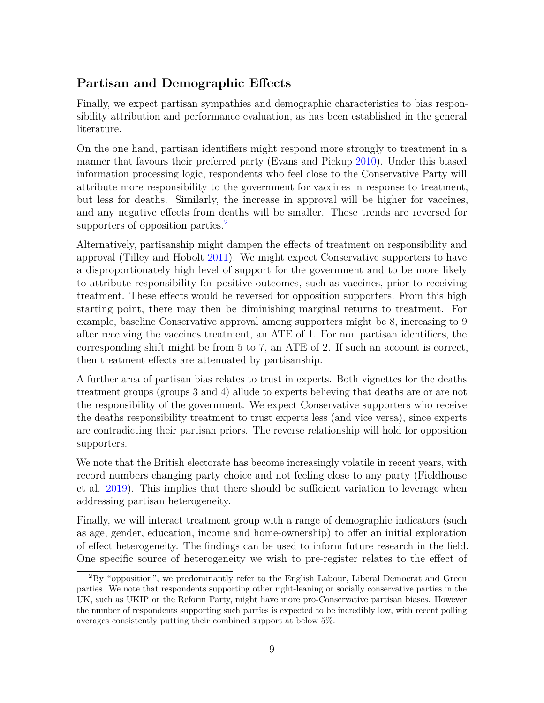# **Partisan and Demographic Effects**

Finally, we expect partisan sympathies and demographic characteristics to bias responsibility attribution and performance evaluation, as has been established in the general literature.

On the one hand, partisan identifiers might respond more strongly to treatment in a manner that favours their preferred party (Evans and Pickup [2010\)](#page-16-4). Under this biased information processing logic, respondents who feel close to the Conservative Party will attribute more responsibility to the government for vaccines in response to treatment, but less for deaths. Similarly, the increase in approval will be higher for vaccines, and any negative effects from deaths will be smaller. These trends are reversed for supporters of opposition parties.<sup>[2](#page-8-0)</sup>

Alternatively, partisanship might dampen the effects of treatment on responsibility and approval (Tilley and Hobolt [2011\)](#page-16-5). We might expect Conservative supporters to have a disproportionately high level of support for the government and to be more likely to attribute responsibility for positive outcomes, such as vaccines, prior to receiving treatment. These effects would be reversed for opposition supporters. From this high starting point, there may then be diminishing marginal returns to treatment. For example, baseline Conservative approval among supporters might be 8, increasing to 9 after receiving the vaccines treatment, an ATE of 1. For non partisan identifiers, the corresponding shift might be from 5 to 7, an ATE of 2. If such an account is correct, then treatment effects are attenuated by partisanship.

A further area of partisan bias relates to trust in experts. Both vignettes for the deaths treatment groups (groups 3 and 4) allude to experts believing that deaths are or are not the responsibility of the government. We expect Conservative supporters who receive the deaths responsibility treatment to trust experts less (and vice versa), since experts are contradicting their partisan priors. The reverse relationship will hold for opposition supporters.

We note that the British electorate has become increasingly volatile in recent years, with record numbers changing party choice and not feeling close to any party (Fieldhouse et al. [2019\)](#page-16-6). This implies that there should be sufficient variation to leverage when addressing partisan heterogeneity.

Finally, we will interact treatment group with a range of demographic indicators (such as age, gender, education, income and home-ownership) to offer an initial exploration of effect heterogeneity. The findings can be used to inform future research in the field. One specific source of heterogeneity we wish to pre-register relates to the effect of

<span id="page-8-0"></span><sup>2</sup>By "opposition", we predominantly refer to the English Labour, Liberal Democrat and Green parties. We note that respondents supporting other right-leaning or socially conservative parties in the UK, such as UKIP or the Reform Party, might have more pro-Conservative partisan biases. However the number of respondents supporting such parties is expected to be incredibly low, with recent polling averages consistently putting their combined support at below 5%.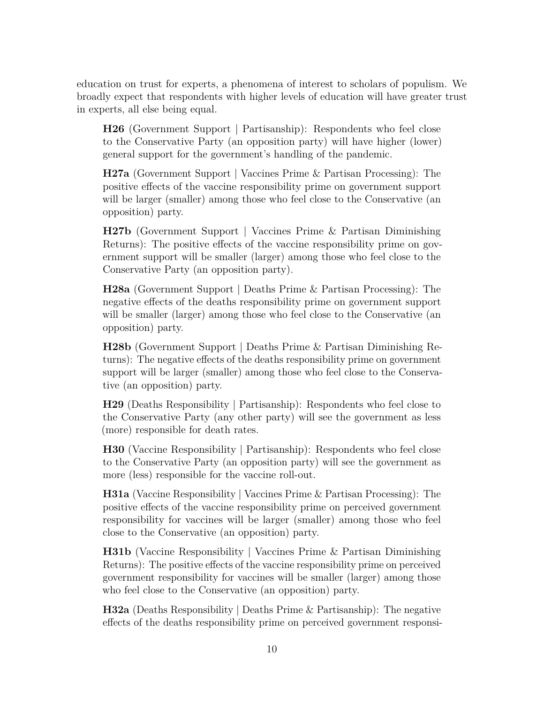education on trust for experts, a phenomena of interest to scholars of populism. We broadly expect that respondents with higher levels of education will have greater trust in experts, all else being equal.

**H26** (Government Support | Partisanship): Respondents who feel close to the Conservative Party (an opposition party) will have higher (lower) general support for the government's handling of the pandemic.

**H27a** (Government Support | Vaccines Prime & Partisan Processing): The positive effects of the vaccine responsibility prime on government support will be larger (smaller) among those who feel close to the Conservative (an opposition) party.

**H27b** (Government Support | Vaccines Prime & Partisan Diminishing Returns): The positive effects of the vaccine responsibility prime on government support will be smaller (larger) among those who feel close to the Conservative Party (an opposition party).

**H28a** (Government Support | Deaths Prime & Partisan Processing): The negative effects of the deaths responsibility prime on government support will be smaller (larger) among those who feel close to the Conservative (an opposition) party.

**H28b** (Government Support | Deaths Prime & Partisan Diminishing Returns): The negative effects of the deaths responsibility prime on government support will be larger (smaller) among those who feel close to the Conservative (an opposition) party.

**H29** (Deaths Responsibility | Partisanship): Respondents who feel close to the Conservative Party (any other party) will see the government as less (more) responsible for death rates.

**H30** (Vaccine Responsibility | Partisanship): Respondents who feel close to the Conservative Party (an opposition party) will see the government as more (less) responsible for the vaccine roll-out.

**H31a** (Vaccine Responsibility | Vaccines Prime & Partisan Processing): The positive effects of the vaccine responsibility prime on perceived government responsibility for vaccines will be larger (smaller) among those who feel close to the Conservative (an opposition) party.

**H31b** (Vaccine Responsibility | Vaccines Prime & Partisan Diminishing Returns): The positive effects of the vaccine responsibility prime on perceived government responsibility for vaccines will be smaller (larger) among those who feel close to the Conservative (an opposition) party.

**H32a** (Deaths Responsibility | Deaths Prime & Partisanship): The negative effects of the deaths responsibility prime on perceived government responsi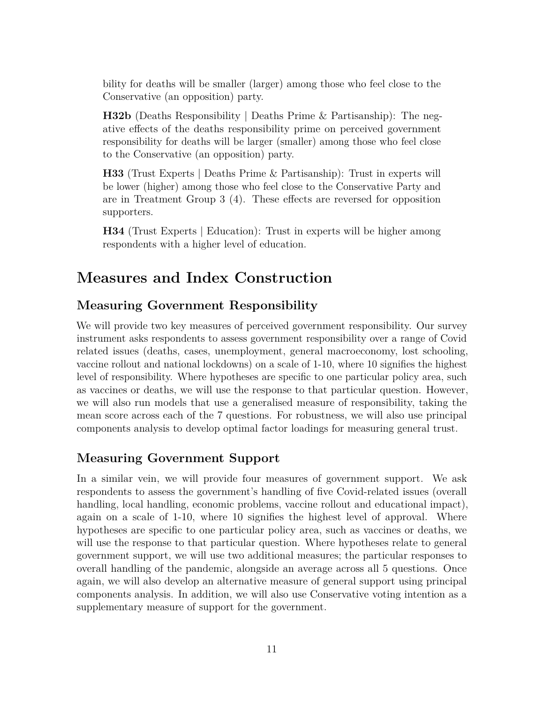bility for deaths will be smaller (larger) among those who feel close to the Conservative (an opposition) party.

**H32b** (Deaths Responsibility | Deaths Prime & Partisanship): The negative effects of the deaths responsibility prime on perceived government responsibility for deaths will be larger (smaller) among those who feel close to the Conservative (an opposition) party.

**H33** (Trust Experts | Deaths Prime & Partisanship): Trust in experts will be lower (higher) among those who feel close to the Conservative Party and are in Treatment Group 3 (4). These effects are reversed for opposition supporters.

**H34** (Trust Experts | Education): Trust in experts will be higher among respondents with a higher level of education.

# **Measures and Index Construction**

#### **Measuring Government Responsibility**

We will provide two key measures of perceived government responsibility. Our survey instrument asks respondents to assess government responsibility over a range of Covid related issues (deaths, cases, unemployment, general macroeconomy, lost schooling, vaccine rollout and national lockdowns) on a scale of 1-10, where 10 signifies the highest level of responsibility. Where hypotheses are specific to one particular policy area, such as vaccines or deaths, we will use the response to that particular question. However, we will also run models that use a generalised measure of responsibility, taking the mean score across each of the 7 questions. For robustness, we will also use principal components analysis to develop optimal factor loadings for measuring general trust.

#### **Measuring Government Support**

In a similar vein, we will provide four measures of government support. We ask respondents to assess the government's handling of five Covid-related issues (overall handling, local handling, economic problems, vaccine rollout and educational impact), again on a scale of 1-10, where 10 signifies the highest level of approval. Where hypotheses are specific to one particular policy area, such as vaccines or deaths, we will use the response to that particular question. Where hypotheses relate to general government support, we will use two additional measures; the particular responses to overall handling of the pandemic, alongside an average across all 5 questions. Once again, we will also develop an alternative measure of general support using principal components analysis. In addition, we will also use Conservative voting intention as a supplementary measure of support for the government.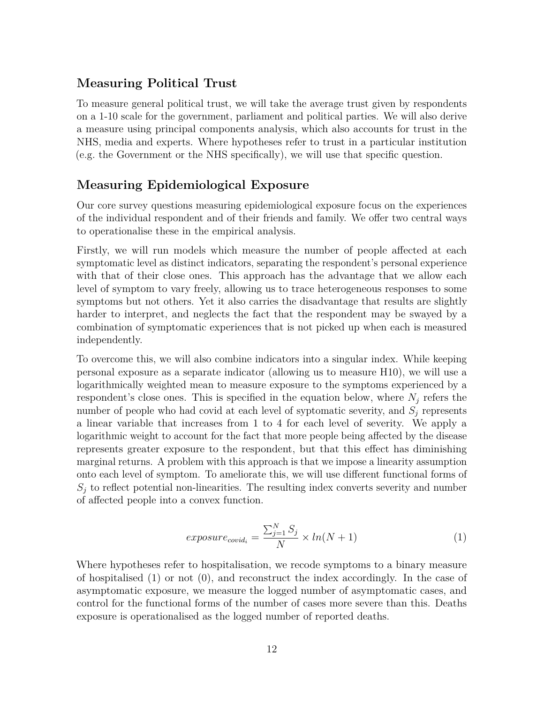#### **Measuring Political Trust**

To measure general political trust, we will take the average trust given by respondents on a 1-10 scale for the government, parliament and political parties. We will also derive a measure using principal components analysis, which also accounts for trust in the NHS, media and experts. Where hypotheses refer to trust in a particular institution (e.g. the Government or the NHS specifically), we will use that specific question.

#### **Measuring Epidemiological Exposure**

Our core survey questions measuring epidemiological exposure focus on the experiences of the individual respondent and of their friends and family. We offer two central ways to operationalise these in the empirical analysis.

Firstly, we will run models which measure the number of people affected at each symptomatic level as distinct indicators, separating the respondent's personal experience with that of their close ones. This approach has the advantage that we allow each level of symptom to vary freely, allowing us to trace heterogeneous responses to some symptoms but not others. Yet it also carries the disadvantage that results are slightly harder to interpret, and neglects the fact that the respondent may be swayed by a combination of symptomatic experiences that is not picked up when each is measured independently.

To overcome this, we will also combine indicators into a singular index. While keeping personal exposure as a separate indicator (allowing us to measure H10), we will use a logarithmically weighted mean to measure exposure to the symptoms experienced by a respondent's close ones. This is specified in the equation below, where  $N_j$  refers the number of people who had covid at each level of syptomatic severity, and *S<sup>j</sup>* represents a linear variable that increases from 1 to 4 for each level of severity. We apply a logarithmic weight to account for the fact that more people being affected by the disease represents greater exposure to the respondent, but that this effect has diminishing marginal returns. A problem with this approach is that we impose a linearity assumption onto each level of symptom. To ameliorate this, we will use different functional forms of  $S_i$  to reflect potential non-linearities. The resulting index converts severity and number of affected people into a convex function.

$$
exposure_{covid_i} = \frac{\sum_{j=1}^{N} S_j}{N} \times ln(N+1)
$$
\n(1)

Where hypotheses refer to hospitalisation, we recode symptoms to a binary measure of hospitalised (1) or not (0), and reconstruct the index accordingly. In the case of asymptomatic exposure, we measure the logged number of asymptomatic cases, and control for the functional forms of the number of cases more severe than this. Deaths exposure is operationalised as the logged number of reported deaths.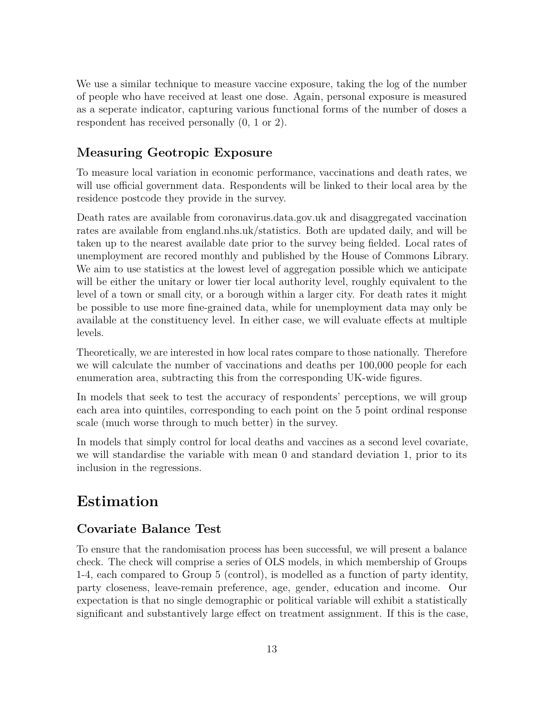We use a similar technique to measure vaccine exposure, taking the log of the number of people who have received at least one dose. Again, personal exposure is measured as a seperate indicator, capturing various functional forms of the number of doses a respondent has received personally (0, 1 or 2).

# **Measuring Geotropic Exposure**

To measure local variation in economic performance, vaccinations and death rates, we will use official government data. Respondents will be linked to their local area by the residence postcode they provide in the survey.

Death rates are available from coronavirus.data.gov.uk and disaggregated vaccination rates are available from england.nhs.uk/statistics. Both are updated daily, and will be taken up to the nearest available date prior to the survey being fielded. Local rates of unemployment are recored monthly and published by the House of Commons Library. We aim to use statistics at the lowest level of aggregation possible which we anticipate will be either the unitary or lower tier local authority level, roughly equivalent to the level of a town or small city, or a borough within a larger city. For death rates it might be possible to use more fine-grained data, while for unemployment data may only be available at the constituency level. In either case, we will evaluate effects at multiple levels.

Theoretically, we are interested in how local rates compare to those nationally. Therefore we will calculate the number of vaccinations and deaths per 100,000 people for each enumeration area, subtracting this from the corresponding UK-wide figures.

In models that seek to test the accuracy of respondents' perceptions, we will group each area into quintiles, corresponding to each point on the 5 point ordinal response scale (much worse through to much better) in the survey.

In models that simply control for local deaths and vaccines as a second level covariate, we will standardise the variable with mean 0 and standard deviation 1, prior to its inclusion in the regressions.

# **Estimation**

### **Covariate Balance Test**

To ensure that the randomisation process has been successful, we will present a balance check. The check will comprise a series of OLS models, in which membership of Groups 1-4, each compared to Group 5 (control), is modelled as a function of party identity, party closeness, leave-remain preference, age, gender, education and income. Our expectation is that no single demographic or political variable will exhibit a statistically significant and substantively large effect on treatment assignment. If this is the case,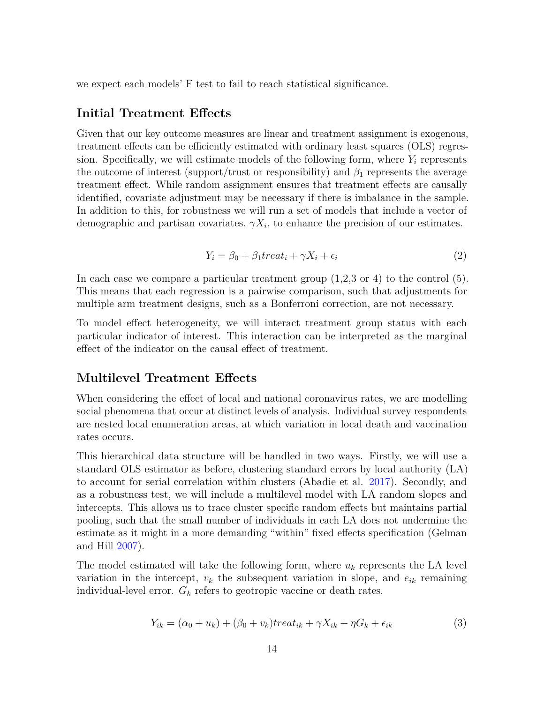we expect each models' F test to fail to reach statistical significance.

#### **Initial Treatment Effects**

Given that our key outcome measures are linear and treatment assignment is exogenous, treatment effects can be efficiently estimated with ordinary least squares (OLS) regression. Specifically, we will estimate models of the following form, where  $Y_i$  represents the outcome of interest (support/trust or responsibility) and  $\beta_1$  represents the average treatment effect. While random assignment ensures that treatment effects are causally identified, covariate adjustment may be necessary if there is imbalance in the sample. In addition to this, for robustness we will run a set of models that include a vector of demographic and partisan covariates,  $\gamma X_i$ , to enhance the precision of our estimates.

$$
Y_i = \beta_0 + \beta_1 treat_i + \gamma X_i + \epsilon_i \tag{2}
$$

In each case we compare a particular treatment group  $(1,2,3)$  or 4) to the control  $(5)$ . This means that each regression is a pairwise comparison, such that adjustments for multiple arm treatment designs, such as a Bonferroni correction, are not necessary.

To model effect heterogeneity, we will interact treatment group status with each particular indicator of interest. This interaction can be interpreted as the marginal effect of the indicator on the causal effect of treatment.

#### **Multilevel Treatment Effects**

When considering the effect of local and national coronavirus rates, we are modelling social phenomena that occur at distinct levels of analysis. Individual survey respondents are nested local enumeration areas, at which variation in local death and vaccination rates occurs.

This hierarchical data structure will be handled in two ways. Firstly, we will use a standard OLS estimator as before, clustering standard errors by local authority (LA) to account for serial correlation within clusters (Abadie et al. [2017\)](#page-16-7). Secondly, and as a robustness test, we will include a multilevel model with LA random slopes and intercepts. This allows us to trace cluster specific random effects but maintains partial pooling, such that the small number of individuals in each LA does not undermine the estimate as it might in a more demanding "within" fixed effects specification (Gelman and Hill [2007\)](#page-16-8).

The model estimated will take the following form, where *u<sup>k</sup>* represents the LA level variation in the intercept,  $v_k$  the subsequent variation in slope, and  $e_{ik}$  remaining individual-level error. *G<sup>k</sup>* refers to geotropic vaccine or death rates.

$$
Y_{ik} = (\alpha_0 + u_k) + (\beta_0 + v_k) treat_{ik} + \gamma X_{ik} + \eta G_k + \epsilon_{ik}
$$
\n(3)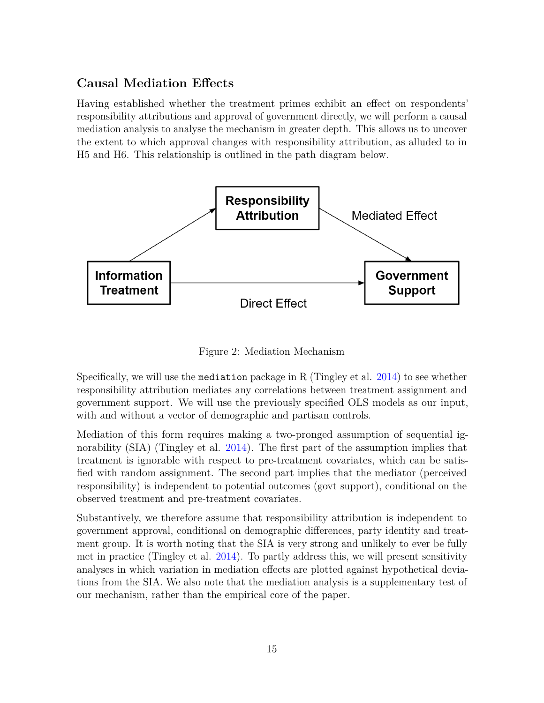### **Causal Mediation Effects**

Having established whether the treatment primes exhibit an effect on respondents' responsibility attributions and approval of government directly, we will perform a causal mediation analysis to analyse the mechanism in greater depth. This allows us to uncover the extent to which approval changes with responsibility attribution, as alluded to in H5 and H6. This relationship is outlined in the path diagram below.



Figure 2: Mediation Mechanism

Specifically, we will use the mediation package in R (Tingley et al. [2014\)](#page-16-9) to see whether responsibility attribution mediates any correlations between treatment assignment and government support. We will use the previously specified OLS models as our input, with and without a vector of demographic and partisan controls.

Mediation of this form requires making a two-pronged assumption of sequential ignorability (SIA) (Tingley et al. [2014\)](#page-16-9). The first part of the assumption implies that treatment is ignorable with respect to pre-treatment covariates, which can be satisfied with random assignment. The second part implies that the mediator (perceived responsibility) is independent to potential outcomes (govt support), conditional on the observed treatment and pre-treatment covariates.

Substantively, we therefore assume that responsibility attribution is independent to government approval, conditional on demographic differences, party identity and treatment group. It is worth noting that the SIA is very strong and unlikely to ever be fully met in practice (Tingley et al. [2014\)](#page-16-9). To partly address this, we will present sensitivity analyses in which variation in mediation effects are plotted against hypothetical deviations from the SIA. We also note that the mediation analysis is a supplementary test of our mechanism, rather than the empirical core of the paper.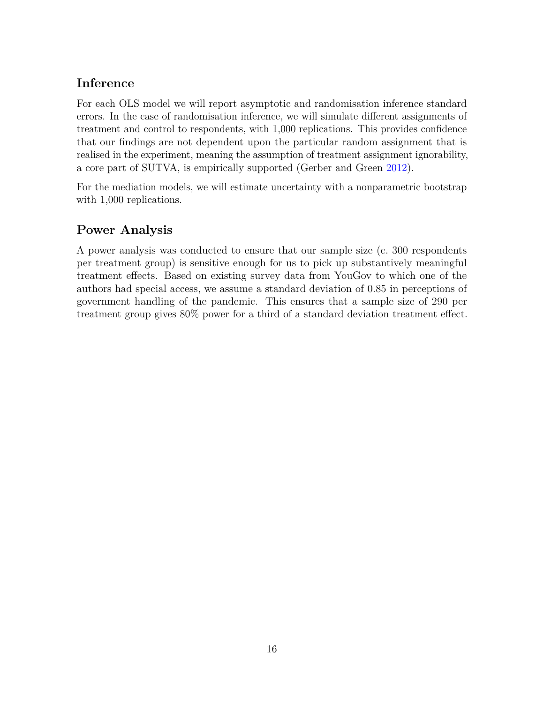# **Inference**

For each OLS model we will report asymptotic and randomisation inference standard errors. In the case of randomisation inference, we will simulate different assignments of treatment and control to respondents, with 1,000 replications. This provides confidence that our findings are not dependent upon the particular random assignment that is realised in the experiment, meaning the assumption of treatment assignment ignorability, a core part of SUTVA, is empirically supported (Gerber and Green [2012\)](#page-16-10).

For the mediation models, we will estimate uncertainty with a nonparametric bootstrap with 1,000 replications.

# **Power Analysis**

A power analysis was conducted to ensure that our sample size (c. 300 respondents per treatment group) is sensitive enough for us to pick up substantively meaningful treatment effects. Based on existing survey data from YouGov to which one of the authors had special access, we assume a standard deviation of 0.85 in perceptions of government handling of the pandemic. This ensures that a sample size of 290 per treatment group gives 80% power for a third of a standard deviation treatment effect.